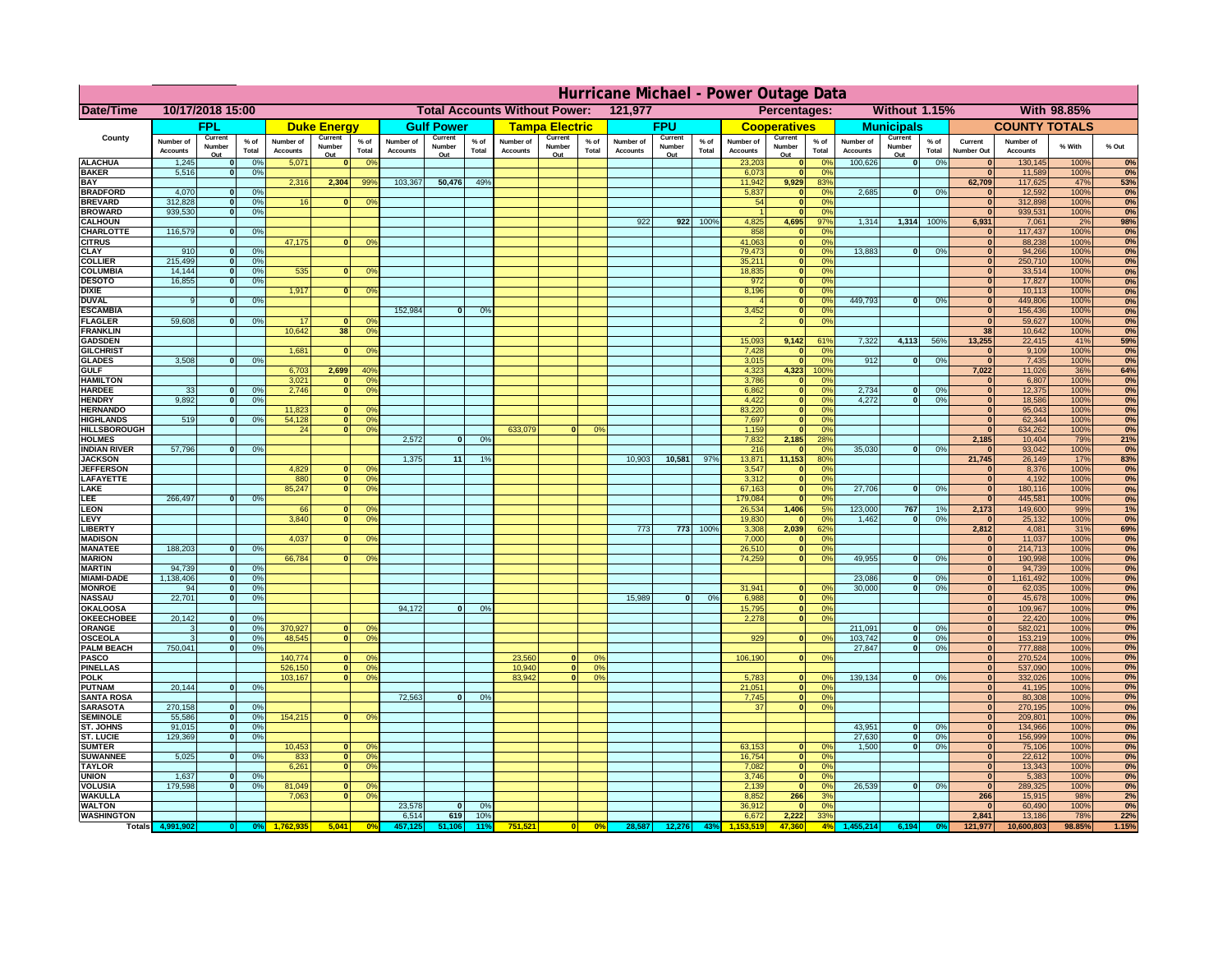|                                       | Hurricane Michael - Power Outage Data |                              |                                  |                              |                          |                                                 |                              |                   |                 |                              |                                              |                      |                       |                   |                 |                              |                              |                                  |                              |                                  |                 |                              |                              |               |              |
|---------------------------------------|---------------------------------------|------------------------------|----------------------------------|------------------------------|--------------------------|-------------------------------------------------|------------------------------|-------------------|-----------------|------------------------------|----------------------------------------------|----------------------|-----------------------|-------------------|-----------------|------------------------------|------------------------------|----------------------------------|------------------------------|----------------------------------|-----------------|------------------------------|------------------------------|---------------|--------------|
| Date/Time                             | 10/17/2018 15:00                      |                              |                                  |                              |                          | <b>Total Accounts Without Power:</b><br>121,977 |                              |                   |                 |                              | Without 1.15%<br>With 98.85%<br>Percentages: |                      |                       |                   |                 |                              |                              |                                  |                              |                                  |                 |                              |                              |               |              |
|                                       |                                       | <b>FPL</b>                   |                                  |                              | <b>Duke Energy</b>       |                                                 |                              | <b>Gulf Power</b> |                 |                              | <b>Tampa Electric</b>                        |                      |                       | <b>FPU</b>        |                 |                              | <b>Cooperatives</b>          |                                  |                              | <b>Municipals</b>                |                 |                              | <b>COUNTY TOTALS</b>         |               |              |
| County                                | Number of<br><b>Accounts</b>          | Current<br>Number            | $%$ of<br>Total                  | Number of<br><b>Accounts</b> | Current<br>Number        | $%$ of<br>Total                                 | Number of<br><b>Accounts</b> | Current<br>Number | $%$ of<br>Total | Number of<br><b>Accounts</b> | Current<br>Number                            | $%$ of<br>Total      | Number of<br>Accounts | Current<br>Number | $%$ of<br>Total | Number of<br><b>Accounts</b> | Current<br>Number            | $%$ of<br>Total                  | Number of<br><b>Accounts</b> | Current<br>Number                | $%$ of<br>Total | Current<br><b>Number Out</b> | Number of<br><b>Accounts</b> | % With        | % Out        |
| <b>ALACHUA</b>                        | 1,245                                 | Out<br>$\mathbf{0}$          | 0%                               | 5,071                        | Out<br>$\mathbf{0}$      | 0 <sup>9</sup>                                  |                              | Out               |                 |                              | Out                                          |                      |                       | Out               |                 | 23,203                       | Out<br>$\mathbf{0}$          | $\Omega$ <sup>c</sup>            | 100,626                      | Out<br>$\overline{\mathbf{0}}$   | 0%              | $\bf{0}$                     | 130,145                      | 100%          | 0%           |
| <b>BAKER</b>                          | 5,516                                 | $\mathbf{0}$                 | 0%                               |                              |                          |                                                 |                              |                   |                 |                              |                                              |                      |                       |                   |                 | 6,073                        | $\mathbf{0}$                 | 0 <sup>9</sup>                   |                              |                                  |                 | $\bf{0}$                     | 11,589                       | 100%          | 0%           |
| <b>BAY</b><br><b>BRADFORD</b>         | 4,070                                 | $\mathbf{0}$                 | 0%                               | 2,316                        | 2,304                    | 99%                                             | 103,367                      | 50,476            | 49%             |                              |                                              |                      |                       |                   |                 | 11,942<br>5,837              | 9,929<br>$\mathbf{0}$        | 83%<br>0 <sup>9</sup>            | 2,685                        | 0                                | 0%              | 62,709<br>$\bf{0}$           | 117,625<br>12,592            | 47%<br>100%   | 53%<br>0%    |
| <b>BREVARD</b>                        | 312,828                               | $\mathbf{0}$                 | 0%                               | 16                           | $\mathbf{0}$             | 0 <sup>o</sup>                                  |                              |                   |                 |                              |                                              |                      |                       |                   |                 | 54                           | $\mathbf{0}$                 | 0 <sup>9</sup>                   |                              |                                  |                 | $\bf{0}$                     | 312,898                      | 100%          | 0%           |
| <b>BROWARD</b>                        | 939.530                               | $\Omega$                     | 0%                               |                              |                          |                                                 |                              |                   |                 |                              |                                              |                      |                       |                   |                 |                              | $\Omega$                     | 0 <sup>9</sup>                   |                              |                                  |                 | $\mathbf{0}$                 | 939,531                      | 100%          | 0%           |
| <b>CALHOUN</b><br>CHARLOTTE           | 116,579                               | $\mathbf{0}$                 | 0%                               |                              |                          |                                                 |                              |                   |                 |                              |                                              |                      | 922                   | 922               | 100%            | 4,825<br>858                 | 4,695                        | 97%<br>0%                        | 1,314                        | 1,314                            | 100%            | 6,931                        | 7,061<br>117,437             | 2%<br>100%    | 98%<br>0%    |
| <b>CITRUS</b>                         |                                       |                              |                                  | 47,175                       | $\mathbf{0}$             | 0 <sup>o</sup>                                  |                              |                   |                 |                              |                                              |                      |                       |                   |                 | 41,063                       | $\mathbf{0}$                 | 0 <sup>o</sup>                   |                              |                                  |                 | $\bf{0}$                     | 88,238                       | 100%          | 0%           |
| <b>CLAY</b>                           | 910<br>215,499                        | $\mathbf{0}$<br>$\mathbf{0}$ | 0%                               |                              |                          |                                                 |                              |                   |                 |                              |                                              |                      |                       |                   |                 | 79,473                       | $\mathbf{0}$                 | 0 <sup>9</sup>                   | 13,883                       | 0                                | 0%              | $\bf{0}$                     | 94,266                       | 100%          | 0%           |
| <b>COLLIER</b><br><b>COLUMBIA</b>     | 14,144                                | $\mathbf{0}$                 | 0 <sup>9</sup><br>0 <sup>9</sup> | 535                          | $\bf{0}$                 | 0 <sup>9</sup>                                  |                              |                   |                 |                              |                                              |                      |                       |                   |                 | 35,211<br>18,835             | $\mathbf{0}$<br>$\mathbf{0}$ | 0 <sup>9</sup><br>0 <sup>9</sup> |                              |                                  |                 | $\bf{0}$<br>$\bf{0}$         | 250,710<br>33,514            | 100%<br>100%  | 0%<br>0%     |
| <b>DESOTO</b>                         | 16,855                                | $\mathbf{0}$                 | 0%                               |                              |                          |                                                 |                              |                   |                 |                              |                                              |                      |                       |                   |                 | 972                          | $\mathbf{0}$                 | 0 <sup>9</sup>                   |                              |                                  |                 | $\bf{0}$                     | 17,827                       | 100%          | 0%           |
| <b>DIXIE</b><br><b>DUVAL</b>          | 9                                     | $\Omega$                     | 0%                               | 1,917                        | $\Omega$                 | 0 <sup>9</sup>                                  |                              |                   |                 |                              |                                              |                      |                       |                   |                 | 8,196                        | $\mathbf{0}$<br>$\mathbf{0}$ | 0 <sup>9</sup><br>0 <sup>9</sup> | 449.793                      | $\mathbf{0}$                     | 0%              | $\bf{0}$<br>$\bf{0}$         | 10,113<br>449,806            | 100%<br>100%  | 0%           |
| <b>ESCAMBIA</b>                       |                                       |                              |                                  |                              |                          |                                                 | 152,984                      | $\Omega$          | 0%              |                              |                                              |                      |                       |                   |                 | 3,452                        | $\mathbf{0}$                 | 0%                               |                              |                                  |                 | $\mathbf{0}$                 | 156,436                      | 100%          | 0%<br>0%     |
| <b>FLAGLER</b>                        | 59,608                                | $\mathbf{o}$                 | 0%                               | 17                           |                          | 0°                                              |                              |                   |                 |                              |                                              |                      |                       |                   |                 |                              | $\mathbf{0}$                 | 0%                               |                              |                                  |                 | $\bf{0}$                     | 59,627                       | 100%          | 0%           |
| <b>FRANKLIN</b>                       |                                       |                              |                                  | 10,642                       | 38                       | 0 <sup>9</sup>                                  |                              |                   |                 |                              |                                              |                      |                       |                   |                 | 15,093                       |                              |                                  | 7,322                        | 4,113                            | 56%             | $\overline{38}$<br>13,255    | 10,642<br>22,415             | 100%<br>41%   | 0%<br>59%    |
| <b>GADSDEN</b><br><b>GILCHRIST</b>    |                                       |                              |                                  | 1,681                        | $\mathbf{0}$             | 0 <sup>9</sup>                                  |                              |                   |                 |                              |                                              |                      |                       |                   |                 | 7,428                        | 9,142<br>$\mathbf{0}$        | 61%<br>0%                        |                              |                                  |                 | $\mathbf{0}$                 | 9,109                        | 100%          | 0%           |
| <b>GLADES</b>                         | 3,508                                 | $\mathbf{0}$                 | 0%                               |                              |                          |                                                 |                              |                   |                 |                              |                                              |                      |                       |                   |                 | 3,015                        | $\Omega$                     | 0 <sup>9</sup>                   | 912                          | $\mathbf{0}$                     | 0%              | $\mathbf{0}$                 | 7,435                        | 100%          | 0%           |
| <b>GULF</b><br><b>HAMILTON</b>        |                                       |                              |                                  | 6,703<br>3,021               | 2,699<br>$\Omega$        | 40 <sup>9</sup><br>0 <sup>9</sup>               |                              |                   |                 |                              |                                              |                      |                       |                   |                 | 4,323                        | 4,323<br>$\Omega$            | 100%                             |                              |                                  |                 | 7,022<br>$\bf{0}$            | 11,026                       | 36%<br>100%   | 64%          |
| <b>HARDEE</b>                         | 33                                    | $\mathbf{0}$                 | 0%                               | 2.746                        | $\Omega$                 | 0 <sup>9</sup>                                  |                              |                   |                 |                              |                                              |                      |                       |                   |                 | 3,786<br>6.862               | $\mathbf{0}$                 | 0 <sup>9</sup><br>0%             | 2.734                        | $\mathbf{0}$                     | 0%              | $\mathbf{0}$                 | 6,807<br>12,375              | 100%          | 0%<br>0%     |
| <b>HENDRY</b>                         | 9.892                                 | 0I                           | 0%                               |                              |                          |                                                 |                              |                   |                 |                              |                                              |                      |                       |                   |                 | 4,422                        | $\overline{0}$               | 0%                               | 4.272                        | $\overline{0}$                   | 0%              | $\mathbf{0}$                 | 18,586                       | 100%          | 0%           |
| <b>HERNANDO</b><br><b>HIGHLANDS</b>   | 519                                   |                              | 0%                               | 11,823<br>54,128             | 0                        | 0 <sup>9</sup><br>0 <sup>9</sup>                |                              |                   |                 |                              |                                              |                      |                       |                   |                 | 83,220<br>7,697              | $\mathbf{0}$<br>$\mathbf{0}$ | 0%                               |                              |                                  |                 | $\mathbf{0}$<br>$\mathbf{0}$ | 95,043<br>62,344             | 100%<br>100%  | 0%           |
| <b>HILLSBOROUGH</b>                   |                                       |                              |                                  | 24                           | $\overline{0}$           | 0%                                              |                              |                   |                 | 633,079                      |                                              | 0%                   |                       |                   |                 | 1,159                        | $\mathbf{0}$                 | 0%<br>0 <sup>9</sup>             |                              |                                  |                 | $\bf{0}$                     | 634,262                      | 100%          | 0%<br>0%     |
| <b>HOLMES</b>                         |                                       |                              |                                  |                              |                          |                                                 | 2,572                        | $\mathbf{0}$      | 0%              |                              |                                              |                      |                       |                   |                 | 7,832                        | 2,185                        | 28%                              |                              |                                  |                 | 2,185                        | 10,404                       | 79%           | 21%          |
| <b>INDIAN RIVER</b><br><b>JACKSON</b> | 57,796                                | $\mathbf{0}$                 | 0%                               |                              |                          |                                                 | 1.375                        | 11                | 1%              |                              |                                              |                      | 10.903                | 10,581            | 97%             | 216<br>13,871                | 11,153                       | 0 <sup>9</sup><br>80%            | 35,030                       | $\mathbf{0}$                     | 0%              | $\bf{0}$<br>21,745           | 93,042<br>26,149             | 100%<br>17%   | 0%           |
| <b>JEFFERSOI</b>                      |                                       |                              |                                  | 4,829                        | n.                       | O <sup>9</sup>                                  |                              |                   |                 |                              |                                              |                      |                       |                   |                 | 3,547                        | $\mathbf{0}$                 | 0 <sup>9</sup>                   |                              |                                  |                 | $\bf{0}$                     | 8,376                        | 100%          | 83%<br>0%    |
| <b>LAFAYETTE</b>                      |                                       |                              |                                  | 880                          | $\overline{0}$           | 0 <sup>9</sup>                                  |                              |                   |                 |                              |                                              |                      |                       |                   |                 | 3,312                        | $\mathbf{0}$                 | 0%                               |                              |                                  |                 | $\mathbf{0}$                 | 4,192                        | 100%          | 0%           |
| LAKE                                  |                                       | nl                           |                                  | 85,247                       | $\overline{0}$           | 0 <sup>9</sup>                                  |                              |                   |                 |                              |                                              |                      |                       |                   |                 | 67,163                       | $\mathbf{0}$                 | 0 <sup>9</sup>                   | 27,706                       | $\Omega$                         | 0%              | $\mathbf{0}$                 | 180,116                      | 100%          | 0%           |
| LEE<br>LEON                           | 266,497                               |                              | 0%                               | 66                           |                          | 0 <sup>o</sup>                                  |                              |                   |                 |                              |                                              |                      |                       |                   |                 | 179,084<br>26,534            | 1,406                        | 0%<br>5%                         | 123,000                      | 767                              | 1%              | $\mathbf{0}$<br>2,173        | 445,581<br>149,600           | 100%<br>99%   | 0%<br>1%     |
| LEVY                                  |                                       |                              |                                  | 3,840                        | $\Omega$                 | 0 <sup>9</sup>                                  |                              |                   |                 |                              |                                              |                      |                       |                   |                 | 19,830                       |                              | 0 <sup>9</sup>                   | 1,462                        | $\Omega$                         | 0%              | $\mathbf{0}$                 | 25,132                       | 100%          | 0%           |
| <b>LIBERTY</b>                        |                                       |                              |                                  |                              |                          |                                                 |                              |                   |                 |                              |                                              |                      | 773                   | 773               | 100%            | 3,308                        | 2,039                        | 62%                              |                              |                                  |                 | 2,812                        | 4,081                        | 31%           | 69%<br>0%    |
| <b>MADISON</b><br><b>MANATEE</b>      | 188,203                               | $\mathbf{0}$                 | 0%                               | 4,037                        |                          | 0 <sup>9</sup>                                  |                              |                   |                 |                              |                                              |                      |                       |                   |                 | 7,000<br>26,510              |                              | 0%<br>0%                         |                              |                                  |                 | $\mathbf{0}$<br> 0           | 11,037<br>214,713            | 100%<br>100%  | 0%           |
| <b>MARION</b>                         |                                       |                              |                                  | 66,784                       |                          | 0°                                              |                              |                   |                 |                              |                                              |                      |                       |                   |                 | 74,259                       | $\Omega$                     | 0%                               | 49,955                       | $\mathbf{0}$                     | 0%              | 0                            | 190,998                      | 100%          | 0%           |
| <b>MARTIN</b>                         | 94,739                                | 0                            | 0%                               |                              |                          |                                                 |                              |                   |                 |                              |                                              |                      |                       |                   |                 |                              |                              |                                  |                              | $\Omega$                         |                 | 0                            | 94,739                       | 100%          | 0%           |
| <b>MIAMI-DADE</b><br><b>MONROE</b>    | 1,138,406<br>94                       | 0 <br> 0                     | 0%<br>0%                         |                              |                          |                                                 |                              |                   |                 |                              |                                              |                      |                       |                   |                 | 31,941                       |                              | 0 <sup>o</sup>                   | 23,086<br>30,000             | $\Omega$                         | 0%<br>0%        | 0 <br>$\mathbf{0}$           | 1,161,492<br>62,035          | 100%<br>100%  | 0%<br>0%     |
| <b>NASSAU</b>                         | 22,701                                | 0                            | 0%                               |                              |                          |                                                 |                              |                   |                 |                              |                                              |                      | 15,989                | 0                 | 0%              | 6,988                        | $\mathbf{0}$                 | 0 <sup>9</sup>                   |                              |                                  |                 | $\mathbf{0}$                 | 45,678                       | 100%          | 0%           |
| OKALOOS/                              |                                       |                              |                                  |                              |                          |                                                 | 94,172                       | $\mathbf{0}$      | 0%              |                              |                                              |                      |                       |                   |                 | 15,795                       | 0                            | 0%                               |                              |                                  |                 | $\mathbf{0}$                 | 109,967                      | 100%          | 0%           |
| <b>OKEECHOBEE</b><br>ORANGE           | 20,142<br>3                           | 0 <br> 0                     | 0%<br>0%                         | 370,927                      | $\mathbf{0}$             | 0 <sup>o</sup>                                  |                              |                   |                 |                              |                                              |                      |                       |                   |                 | 2,278                        | 0                            | 0%                               | 211,091                      | 0                                | 0%              | $\mathbf{0}$<br>$\mathbf{0}$ | 22,420<br>582,021            | 100%<br>100%  | 0%<br>0%     |
| <b>OSCEOLA</b>                        | 3                                     | 0                            | 0%                               | 48,545                       | $\Omega$                 | 0 <sup>9</sup>                                  |                              |                   |                 |                              |                                              |                      |                       |                   |                 | 929                          | $\Omega$                     | 0 <sup>9</sup>                   | 103,742                      | 0                                | 0%              | 0                            | 153,219                      | 100%          | 0%           |
| <b>PALM BEACH</b>                     | 750,041                               | 0                            | 0%                               |                              |                          |                                                 |                              |                   |                 |                              |                                              |                      |                       |                   |                 |                              |                              |                                  | 27,847                       | $\mathbf{0}$                     | 0%              | $\mathbf{0}$<br>$\mathbf{0}$ | 777,888                      | 100%          | 0%           |
| <b>PASCO</b><br><b>PINELLAS</b>       |                                       |                              |                                  | 140,774<br>526,150           | $\mathbf{0}$<br>$\Omega$ | 0 <sup>9</sup><br>0 <sup>9</sup>                |                              |                   |                 | 23,560<br>10,940             | $\Omega$<br> 0                               | 0 <sup>9</sup><br>0% |                       |                   |                 | 106,190                      | 0                            | 0 <sup>9</sup>                   |                              |                                  |                 | $\mathbf{0}$                 | 270,524<br>537,090           | 100%<br>100%  | 0%<br>0%     |
| <b>POLK</b>                           |                                       |                              |                                  | 103,167                      | 0                        | 0 <sup>9</sup>                                  |                              |                   |                 | 83,942                       | 0                                            | 0%                   |                       |                   |                 | 5,783                        | $\Omega$                     | no                               | 139,134                      | $\mathbf{0}$                     | 0%              | $\mathbf{0}$                 | 332,026                      | 100%          | 0%           |
| <b>PUTNAM</b>                         | 20,144                                | 0                            | 0%                               |                              |                          |                                                 | 72,563                       |                   |                 |                              |                                              |                      |                       |                   |                 | 21,051                       | $\mathbf{0}$                 | 0 <sup>9</sup><br>0%             |                              |                                  |                 | $\mathbf{0}$<br>$\mathbf{0}$ | 41,195                       | 100%          | 0%           |
| <b>SANTA ROSA</b><br><b>SARASOTA</b>  | 270,158                               | 0                            | 0%                               |                              |                          |                                                 |                              | 0                 | 0%              |                              |                                              |                      |                       |                   |                 | 7,745<br>37                  | 0 <br>$\overline{0}$         | 0%                               |                              |                                  |                 | $\mathbf{0}$                 | 80,308<br>270,195            | 100%<br>100%  | 0%<br>0%     |
| <b>SEMINOLE</b>                       | 55,586                                | 0                            | 0%                               | 154,215                      | $\mathbf{0}$             | 0 <sup>9</sup>                                  |                              |                   |                 |                              |                                              |                      |                       |                   |                 |                              |                              |                                  |                              |                                  |                 | $\mathbf{0}$                 | 209,801                      | 100%          | 0%           |
| <b>ST. JOHNS</b>                      | 91,015<br>129.369                     | 0                            | 0%                               |                              |                          |                                                 |                              |                   |                 |                              |                                              |                      |                       |                   |                 |                              |                              |                                  | 43,951<br>27,630             | 0                                | 0%<br>0%        | $\mathbf{0}$                 | 134,966<br>156.999           | 100%          | 0%           |
| <b>ST. LUCIE</b><br><b>SUMTER</b>     |                                       | $\mathbf{0}$                 | 0%                               | 10,453                       | $\mathbf{0}$             | 0 <sup>9</sup>                                  |                              |                   |                 |                              |                                              |                      |                       |                   |                 | 63,153                       | $\mathbf{0}$                 | 0 <sup>o</sup>                   | 1.500                        | $\overline{0}$<br>$\overline{0}$ | 0%              | 0 <br>$\mathbf{0}$           | 75,106                       | 100%<br>100%  | 0%<br>0%     |
| <b>SUWANNEE</b>                       | 5,025                                 | $\Omega$                     | 0%                               | 833                          | 0                        | 0 <sup>9</sup>                                  |                              |                   |                 |                              |                                              |                      |                       |                   |                 | 16,754                       | $\mathbf{0}$                 | 0 <sup>9</sup>                   |                              |                                  |                 | $\mathbf{0}$                 | 22,612                       | 100%          | 0%           |
| <b>TAYLOR</b>                         |                                       |                              |                                  | 6,261                        | 0                        | 0 <sup>9</sup>                                  |                              |                   |                 |                              |                                              |                      |                       |                   |                 | 7,082                        | $\mathbf{0}$                 | 0%                               |                              |                                  |                 | $\mathbf{0}$                 | 13,343                       | 100%          | 0%           |
| <b>UNION</b><br><b>VOLUSIA</b>        | 1,637<br>179,598                      | $\mathbf{0}$<br>$\mathbf{0}$ | 0%<br>0%                         | 81,049                       | $\bf{0}$                 | 0 <sup>9</sup>                                  |                              |                   |                 |                              |                                              |                      |                       |                   |                 | 3,746<br>2,139               | $\mathbf{0}$<br>$\mathbf{0}$ | 0 <sup>9</sup><br>0 <sup>9</sup> | 26,539                       | 0                                | 0%              | $\mathbf{0}$<br>$\mathbf{0}$ | 5,383<br>289,325             | 100%<br>100%  | 0%<br>0%     |
| <b>WAKULLA</b>                        |                                       |                              |                                  | 7,063                        | $\bf{0}$                 | 0 <sup>9</sup>                                  |                              |                   |                 |                              |                                              |                      |                       |                   |                 | 8,852                        | 266                          | 3%                               |                              |                                  |                 | 266                          | 15,915                       | 98%           | 2%           |
| <b>WALTON</b>                         |                                       |                              |                                  |                              |                          |                                                 | 23,578<br>6,514              | $\mathbf{0}$      | 0%              |                              |                                              |                      |                       |                   |                 | 36,912                       | $\mathbf{0}$<br>2,222        | 0 <sup>9</sup>                   |                              |                                  |                 | $\mathbf{0}$<br>2,841        | 60,490                       | 100%          | 0%           |
| <b>WASHINGTON</b><br><b>Totals</b>    |                                       |                              |                                  |                              | 5,041                    |                                                 |                              | 619               | 10%<br>11°      | 751,521                      |                                              | 0%                   | 28,587                | 12,276            | 43              | 6,672                        | 47.360                       | 33%<br>4%                        |                              | 6,194                            |                 | 121,977                      | 13,186<br>10,600,803         | 78%<br>98.85% | 22%<br>1.15% |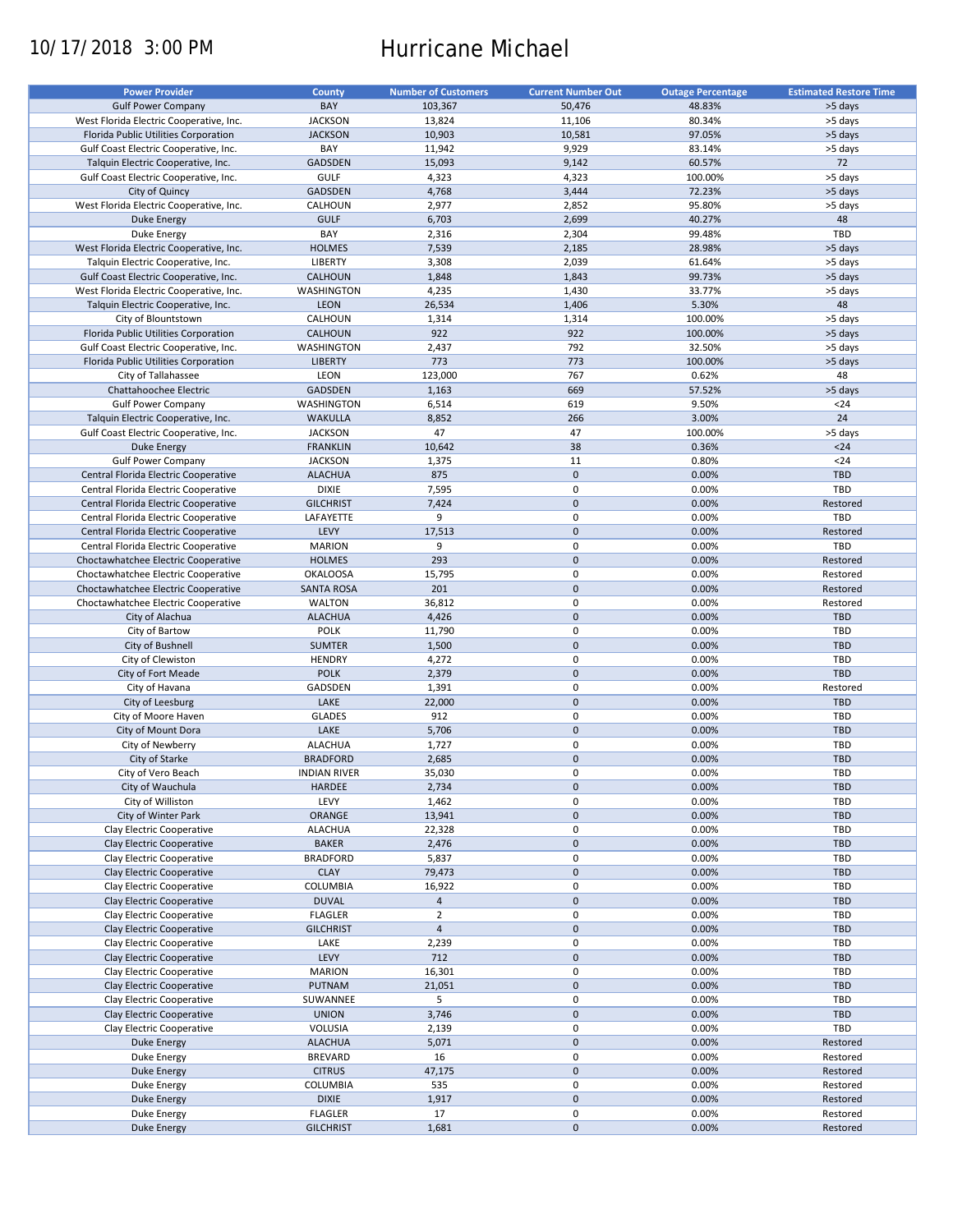# 10/17/2018 3:00 PM Hurricane Michael

| <b>Power Provider</b>                   | <b>County</b>       | <b>Number of Customers</b> | <b>Current Number Out</b> | <b>Outage Percentage</b> | <b>Estimated Restore Time</b> |
|-----------------------------------------|---------------------|----------------------------|---------------------------|--------------------------|-------------------------------|
| <b>Gulf Power Company</b>               | BAY                 | 103,367                    | 50,476                    | 48.83%                   | >5 days                       |
|                                         | <b>JACKSON</b>      | 13,824                     | 11,106                    | 80.34%                   | >5 days                       |
| West Florida Electric Cooperative, Inc. | <b>JACKSON</b>      |                            | 10,581                    | 97.05%                   |                               |
| Florida Public Utilities Corporation    |                     | 10,903                     |                           |                          | >5 days                       |
| Gulf Coast Electric Cooperative, Inc.   | BAY                 | 11,942                     | 9,929                     | 83.14%                   | >5 days                       |
| Talquin Electric Cooperative, Inc.      | <b>GADSDEN</b>      | 15,093                     | 9,142                     | 60.57%                   | 72                            |
| Gulf Coast Electric Cooperative, Inc.   | <b>GULF</b>         | 4,323                      | 4,323                     | 100.00%                  | >5 days                       |
| City of Quincy                          | <b>GADSDEN</b>      | 4,768                      | 3,444                     | 72.23%                   | >5 days                       |
| West Florida Electric Cooperative, Inc. | CALHOUN             | 2,977                      | 2,852                     | 95.80%                   | >5 days                       |
| <b>Duke Energy</b>                      | <b>GULF</b>         | 6,703                      | 2,699                     | 40.27%                   | 48                            |
| Duke Energy                             | BAY                 | 2,316                      | 2,304                     | 99.48%                   | TBD                           |
| West Florida Electric Cooperative, Inc. | <b>HOLMES</b>       | 7,539                      | 2,185                     | 28.98%                   | >5 days                       |
| Talquin Electric Cooperative, Inc.      | LIBERTY             | 3,308                      | 2,039                     | 61.64%                   | >5 days                       |
| Gulf Coast Electric Cooperative, Inc.   | CALHOUN             | 1,848                      | 1,843                     | 99.73%                   | >5 days                       |
| West Florida Electric Cooperative, Inc. | WASHINGTON          | 4,235                      | 1,430                     | 33.77%                   | >5 days                       |
| Talquin Electric Cooperative, Inc.      | LEON                | 26,534                     | 1,406                     | 5.30%                    | 48                            |
| City of Blountstown                     | CALHOUN             | 1,314                      | 1,314                     | 100.00%                  | >5 days                       |
| Florida Public Utilities Corporation    | <b>CALHOUN</b>      | 922                        | 922                       | 100.00%                  | >5 days                       |
| Gulf Coast Electric Cooperative, Inc.   | WASHINGTON          | 2,437                      | 792                       | 32.50%                   | >5 days                       |
| Florida Public Utilities Corporation    | <b>LIBERTY</b>      | 773                        | 773                       | 100.00%                  | >5 days                       |
| City of Tallahassee                     | LEON                | 123,000                    | 767                       | 0.62%                    | 48                            |
|                                         |                     |                            |                           |                          |                               |
| Chattahoochee Electric                  | <b>GADSDEN</b>      | 1,163                      | 669                       | 57.52%                   | >5 days                       |
| <b>Gulf Power Company</b>               | WASHINGTON          | 6,514                      | 619                       | 9.50%                    | $24$                          |
| Talquin Electric Cooperative, Inc.      | <b>WAKULLA</b>      | 8,852                      | 266                       | 3.00%                    | 24                            |
| Gulf Coast Electric Cooperative, Inc.   | <b>JACKSON</b>      | 47                         | 47                        | 100.00%                  | >5 days                       |
| <b>Duke Energy</b>                      | <b>FRANKLIN</b>     | 10,642                     | 38                        | 0.36%                    | $24$                          |
| <b>Gulf Power Company</b>               | <b>JACKSON</b>      | 1,375                      | 11                        | 0.80%                    | $24$                          |
| Central Florida Electric Cooperative    | <b>ALACHUA</b>      | 875                        | $\mathbf 0$               | 0.00%                    | <b>TBD</b>                    |
| Central Florida Electric Cooperative    | <b>DIXIE</b>        | 7,595                      | 0                         | 0.00%                    | TBD                           |
| Central Florida Electric Cooperative    | <b>GILCHRIST</b>    | 7,424                      | $\mathbf 0$               | 0.00%                    | Restored                      |
| Central Florida Electric Cooperative    | LAFAYETTE           | 9                          | 0                         | 0.00%                    | TBD                           |
| Central Florida Electric Cooperative    | LEVY                | 17,513                     | $\mathbf 0$               | 0.00%                    | Restored                      |
| Central Florida Electric Cooperative    | <b>MARION</b>       | 9                          | 0                         | 0.00%                    | TBD                           |
| Choctawhatchee Electric Cooperative     | <b>HOLMES</b>       | 293                        | $\mathbf 0$               | 0.00%                    | Restored                      |
| Choctawhatchee Electric Cooperative     | <b>OKALOOSA</b>     | 15,795                     | $\pmb{0}$                 | 0.00%                    | Restored                      |
|                                         |                     |                            | $\mathbf 0$               |                          |                               |
| Choctawhatchee Electric Cooperative     | <b>SANTA ROSA</b>   | 201                        |                           | 0.00%                    | Restored                      |
| Choctawhatchee Electric Cooperative     | <b>WALTON</b>       | 36,812                     | $\pmb{0}$                 | 0.00%                    | Restored                      |
| City of Alachua                         | <b>ALACHUA</b>      | 4,426                      | $\mathbf 0$               | 0.00%                    | <b>TBD</b>                    |
| City of Bartow                          | <b>POLK</b>         | 11,790                     | 0                         | 0.00%                    | TBD                           |
| City of Bushnell                        | <b>SUMTER</b>       | 1,500                      | $\mathbf 0$               | 0.00%                    | <b>TBD</b>                    |
| City of Clewiston                       | <b>HENDRY</b>       | 4,272                      | 0                         | 0.00%                    | TBD                           |
| City of Fort Meade                      | <b>POLK</b>         | 2,379                      | $\mathbf 0$               | 0.00%                    | <b>TBD</b>                    |
| City of Havana                          | GADSDEN             | 1,391                      | 0                         | 0.00%                    | Restored                      |
| City of Leesburg                        | LAKE                | 22,000                     | $\mathbf 0$               | 0.00%                    | <b>TBD</b>                    |
| City of Moore Haven                     | <b>GLADES</b>       | 912                        | 0                         | 0.00%                    | TBD                           |
| City of Mount Dora                      | LAKE                | 5,706                      | $\mathbf 0$               | 0.00%                    | <b>TBD</b>                    |
| City of Newberry                        | <b>ALACHUA</b>      | 1,727                      | 0                         | 0.00%                    | <b>TBD</b>                    |
| City of Starke                          | <b>BRADFORD</b>     | 2,685                      | $\mathbf 0$               | 0.00%                    | <b>TBD</b>                    |
| City of Vero Beach                      | <b>INDIAN RIVER</b> | 35,030                     | $\Omega$                  | 0.00%                    | TBD                           |
|                                         |                     |                            |                           |                          |                               |
| City of Wauchula                        | HARDEE              | 2,734                      | $\pmb{0}$                 | 0.00%                    | TBD                           |
| City of Williston                       | LEVY                | 1,462                      | 0                         | 0.00%                    | TBD                           |
| City of Winter Park                     | ORANGE              | 13,941                     | $\mathsf{O}\xspace$       | 0.00%                    | <b>TBD</b>                    |
| Clay Electric Cooperative               | <b>ALACHUA</b>      | 22,328                     | 0                         | 0.00%                    | TBD                           |
| Clay Electric Cooperative               | <b>BAKER</b>        | 2,476                      | $\pmb{0}$                 | 0.00%                    | <b>TBD</b>                    |
| Clay Electric Cooperative               | <b>BRADFORD</b>     | 5,837                      | 0                         | 0.00%                    | TBD                           |
| Clay Electric Cooperative               | <b>CLAY</b>         | 79,473                     | $\pmb{0}$                 | 0.00%                    | TBD                           |
| Clay Electric Cooperative               | COLUMBIA            | 16,922                     | $\pmb{0}$                 | 0.00%                    | TBD                           |
| Clay Electric Cooperative               | <b>DUVAL</b>        | $\overline{4}$             | $\pmb{0}$                 | 0.00%                    | <b>TBD</b>                    |
| Clay Electric Cooperative               | <b>FLAGLER</b>      | $\overline{2}$             | 0                         | 0.00%                    | TBD                           |
| Clay Electric Cooperative               | <b>GILCHRIST</b>    | $\overline{4}$             | $\pmb{0}$                 | 0.00%                    | <b>TBD</b>                    |
| Clay Electric Cooperative               | LAKE                | 2,239                      | $\pmb{0}$                 | 0.00%                    | TBD                           |
| Clay Electric Cooperative               | LEVY                | 712                        | $\pmb{0}$                 | 0.00%                    | TBD                           |
| Clay Electric Cooperative               | <b>MARION</b>       | 16,301                     | 0                         | 0.00%                    | TBD                           |
|                                         | <b>PUTNAM</b>       | 21,051                     | $\pmb{0}$                 | 0.00%                    | TBD                           |
| Clay Electric Cooperative               |                     |                            |                           |                          |                               |
| Clay Electric Cooperative               | SUWANNEE            | 5                          | $\pmb{0}$                 | 0.00%                    | TBD                           |
| Clay Electric Cooperative               | <b>UNION</b>        | 3,746                      | $\pmb{0}$                 | 0.00%                    | <b>TBD</b>                    |
| Clay Electric Cooperative               | VOLUSIA             | 2,139                      | $\pmb{0}$                 | 0.00%                    | TBD                           |
| Duke Energy                             | <b>ALACHUA</b>      | 5,071                      | $\pmb{0}$                 | 0.00%                    | Restored                      |
| Duke Energy                             | <b>BREVARD</b>      | 16                         | 0                         | 0.00%                    | Restored                      |
| Duke Energy                             | <b>CITRUS</b>       | 47,175                     | $\mathsf{O}\xspace$       | 0.00%                    | Restored                      |
| Duke Energy                             | COLUMBIA            | 535                        | 0                         | 0.00%                    | Restored                      |
| <b>Duke Energy</b>                      | <b>DIXIE</b>        | 1,917                      | $\pmb{0}$                 | 0.00%                    | Restored                      |
| Duke Energy                             | <b>FLAGLER</b>      | 17                         | $\pmb{0}$                 | 0.00%                    | Restored                      |
| <b>Duke Energy</b>                      | <b>GILCHRIST</b>    | 1,681                      | $\pmb{0}$                 | 0.00%                    | Restored                      |
|                                         |                     |                            |                           |                          |                               |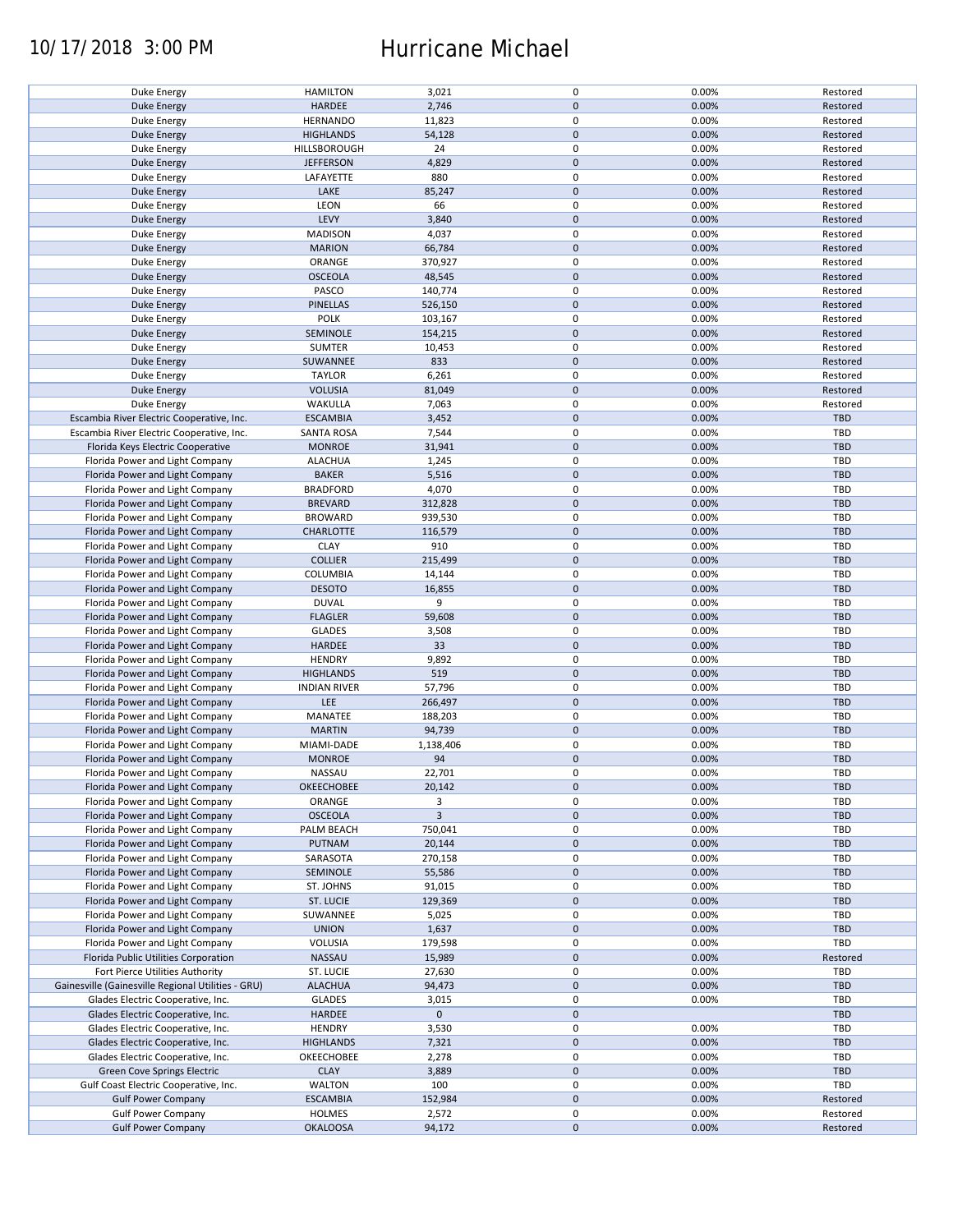## 10/17/2018 3:00 PM Hurricane Michael

| Duke Energy                                            | <b>HAMILTON</b>                  | 3,021           | 0                   | 0.00%          | Restored             |
|--------------------------------------------------------|----------------------------------|-----------------|---------------------|----------------|----------------------|
| <b>Duke Energy</b>                                     | HARDEE                           | 2,746           | $\mathbf 0$         | 0.00%          | Restored             |
| Duke Energy                                            | <b>HERNANDO</b>                  | 11,823          | 0                   | 0.00%          | Restored             |
|                                                        |                                  |                 |                     |                |                      |
| <b>Duke Energy</b>                                     | <b>HIGHLANDS</b>                 | 54,128          | $\mathbf 0$         | 0.00%          | Restored             |
| Duke Energy                                            | HILLSBOROUGH                     | 24              | 0                   | 0.00%          | Restored             |
| <b>Duke Energy</b>                                     | <b>JEFFERSON</b>                 | 4,829           | $\mathbf 0$         | 0.00%          | Restored             |
|                                                        |                                  |                 |                     |                |                      |
| Duke Energy                                            | LAFAYETTE                        | 880             | 0                   | 0.00%          | Restored             |
| <b>Duke Energy</b>                                     | LAKE                             | 85,247          | $\mathbf 0$         | 0.00%          | Restored             |
| Duke Energy                                            | LEON                             | 66              | 0                   | 0.00%          | Restored             |
|                                                        | LEVY                             | 3,840           | $\mathbf 0$         | 0.00%          | Restored             |
| Duke Energy                                            |                                  |                 |                     |                |                      |
| Duke Energy                                            | <b>MADISON</b>                   | 4,037           | 0                   | 0.00%          | Restored             |
| <b>Duke Energy</b>                                     | <b>MARION</b>                    | 66,784          | $\mathbf 0$         | 0.00%          | Restored             |
| Duke Energy                                            | ORANGE                           | 370,927         | 0                   | 0.00%          | Restored             |
|                                                        |                                  |                 |                     |                |                      |
| Duke Energy                                            | <b>OSCEOLA</b>                   | 48,545          | $\mathbf 0$         | 0.00%          | Restored             |
| Duke Energy                                            | PASCO                            | 140,774         | 0                   | 0.00%          | Restored             |
| <b>Duke Energy</b>                                     | <b>PINELLAS</b>                  | 526,150         | $\mathbf 0$         | 0.00%          | Restored             |
|                                                        |                                  |                 | $\pmb{0}$           |                |                      |
| Duke Energy                                            | <b>POLK</b>                      | 103,167         |                     | 0.00%          | Restored             |
| <b>Duke Energy</b>                                     | SEMINOLE                         | 154,215         | $\pmb{0}$           | 0.00%          | Restored             |
| Duke Energy                                            | SUMTER                           | 10,453          | $\pmb{0}$           | 0.00%          | Restored             |
|                                                        |                                  |                 | $\pmb{0}$           | 0.00%          |                      |
| <b>Duke Energy</b>                                     | SUWANNEE                         | 833             |                     |                | Restored             |
| Duke Energy                                            | <b>TAYLOR</b>                    | 6,261           | $\pmb{0}$           | 0.00%          | Restored             |
| <b>Duke Energy</b>                                     | <b>VOLUSIA</b>                   | 81,049          | $\pmb{0}$           | 0.00%          | Restored             |
| Duke Energy                                            | WAKULLA                          | 7,063           | 0                   | 0.00%          |                      |
|                                                        |                                  |                 |                     |                | Restored             |
| Escambia River Electric Cooperative, Inc.              | <b>ESCAMBIA</b>                  | 3,452           | $\pmb{0}$           | 0.00%          | <b>TBD</b>           |
| Escambia River Electric Cooperative, Inc.              | <b>SANTA ROSA</b>                | 7,544           | 0                   | 0.00%          | TBD                  |
|                                                        |                                  |                 | $\pmb{0}$           | 0.00%          | <b>TBD</b>           |
| Florida Keys Electric Cooperative                      | <b>MONROE</b>                    | 31,941          |                     |                |                      |
| Florida Power and Light Company                        | <b>ALACHUA</b>                   | 1,245           | $\pmb{0}$           | 0.00%          | TBD                  |
| Florida Power and Light Company                        | <b>BAKER</b>                     | 5,516           | $\pmb{0}$           | 0.00%          | <b>TBD</b>           |
|                                                        | <b>BRADFORD</b>                  |                 | 0                   | 0.00%          | TBD                  |
| Florida Power and Light Company                        |                                  | 4,070           |                     |                |                      |
| Florida Power and Light Company                        | <b>BREVARD</b>                   | 312,828         | $\mathsf{O}\xspace$ | 0.00%          | <b>TBD</b>           |
| Florida Power and Light Company                        | <b>BROWARD</b>                   | 939,530         | 0                   | 0.00%          | TBD                  |
| Florida Power and Light Company                        | <b>CHARLOTTE</b>                 | 116,579         | $\pmb{0}$           | 0.00%          | <b>TBD</b>           |
|                                                        |                                  |                 |                     |                |                      |
| Florida Power and Light Company                        | <b>CLAY</b>                      | 910             | 0                   | 0.00%          | <b>TBD</b>           |
| Florida Power and Light Company                        | <b>COLLIER</b>                   | 215,499         | $\mathsf{O}\xspace$ | 0.00%          | <b>TBD</b>           |
| Florida Power and Light Company                        | COLUMBIA                         | 14,144          | 0                   | 0.00%          | TBD                  |
|                                                        |                                  |                 |                     |                |                      |
| Florida Power and Light Company                        | <b>DESOTO</b>                    | 16,855          | $\pmb{0}$           | 0.00%          | <b>TBD</b>           |
| Florida Power and Light Company                        | <b>DUVAL</b>                     | 9               | 0                   | 0.00%          | TBD                  |
| Florida Power and Light Company                        | <b>FLAGLER</b>                   | 59,608          | $\pmb{0}$           | 0.00%          | <b>TBD</b>           |
|                                                        |                                  |                 |                     |                |                      |
| Florida Power and Light Company                        | <b>GLADES</b>                    | 3,508           | $\pmb{0}$           | 0.00%          | TBD                  |
| Florida Power and Light Company                        | HARDEE                           | 33              | $\mathbf 0$         | 0.00%          | <b>TBD</b>           |
| Florida Power and Light Company                        | <b>HENDRY</b>                    | 9,892           | $\pmb{0}$           | 0.00%          | TBD                  |
|                                                        |                                  |                 |                     |                |                      |
| Florida Power and Light Company                        | <b>HIGHLANDS</b>                 | 519             | $\mathbf 0$         | 0.00%          | <b>TBD</b>           |
| Florida Power and Light Company                        | <b>INDIAN RIVER</b>              | 57,796          | $\pmb{0}$           | 0.00%          | TBD                  |
| Florida Power and Light Company                        | LEE                              | 266,497         | $\mathbf 0$         | 0.00%          | <b>TBD</b>           |
|                                                        |                                  |                 |                     |                |                      |
| Florida Power and Light Company                        | MANATEE                          | 188,203         | 0                   | 0.00%          | TBD                  |
| Florida Power and Light Company                        | <b>MARTIN</b>                    | 94,739          | $\mathbf 0$         | 0.00%          |                      |
| Florida Power and Light Company                        | MIAMI-DADE                       |                 |                     |                | <b>TBD</b>           |
|                                                        |                                  |                 |                     |                |                      |
|                                                        |                                  | 1,138,406       | 0                   | 0.00%          | TBD                  |
| Florida Power and Light Company                        | <b>MONROE</b>                    | 94              | $\mathbf 0$         | 0.00%          | <b>TBD</b>           |
| Florida Power and Light Company                        | <b>NASSAU</b>                    | 22,701          | 0                   | 0.00%          | TBD                  |
| Florida Power and Light Company                        |                                  |                 | $\pmb{0}$           |                | <b>TBD</b>           |
|                                                        | OKEECHOBEE                       | 20,142          |                     | 0.00%          |                      |
| Florida Power and Light Company                        | ORANGE                           | 3               | 0                   | 0.00%          | TBD                  |
| Florida Power and Light Company                        | <b>OSCEOLA</b>                   | $\overline{3}$  | $\mathbf 0$         | 0.00%          | <b>TBD</b>           |
| Florida Power and Light Company                        | PALM BEACH                       | 750,041         | 0                   | 0.00%          | TBD                  |
|                                                        |                                  |                 |                     |                |                      |
| Florida Power and Light Company                        | <b>PUTNAM</b>                    | 20,144          | $\mathsf{O}\xspace$ | 0.00%          | <b>TBD</b>           |
| Florida Power and Light Company                        | SARASOTA                         | 270,158         | 0                   | 0.00%          | TBD                  |
| Florida Power and Light Company                        | <b>SEMINOLE</b>                  | 55,586          | $\mathsf{O}\xspace$ | 0.00%          | <b>TBD</b>           |
|                                                        |                                  |                 |                     |                |                      |
| Florida Power and Light Company                        | ST. JOHNS                        | 91,015          | 0                   | 0.00%          | TBD                  |
| Florida Power and Light Company                        | ST. LUCIE                        | 129,369         | $\mathsf{O}\xspace$ | 0.00%          | <b>TBD</b>           |
| Florida Power and Light Company                        | SUWANNEE                         | 5,025           | 0                   | 0.00%          | TBD                  |
| Florida Power and Light Company                        |                                  |                 |                     |                | <b>TBD</b>           |
|                                                        | <b>UNION</b>                     | 1,637           | $\pmb{0}$           | 0.00%          |                      |
| Florida Power and Light Company                        | VOLUSIA                          | 179,598         | 0                   | 0.00%          | TBD                  |
| Florida Public Utilities Corporation                   | NASSAU                           | 15,989          | $\mathsf{O}\xspace$ | 0.00%          | Restored             |
|                                                        |                                  |                 |                     |                | TBD                  |
| Fort Pierce Utilities Authority                        | ST. LUCIE                        | 27,630          | 0                   | 0.00%          |                      |
| Gainesville (Gainesville Regional Utilities - GRU)     | <b>ALACHUA</b>                   | 94,473          | $\pmb{0}$           | 0.00%          | <b>TBD</b>           |
| Glades Electric Cooperative, Inc.                      | <b>GLADES</b>                    | 3,015           | 0                   | 0.00%          | TBD                  |
|                                                        |                                  | $\mathbf 0$     |                     |                |                      |
| Glades Electric Cooperative, Inc.                      | HARDEE                           |                 | $\pmb{0}$           |                | <b>TBD</b>           |
| Glades Electric Cooperative, Inc.                      | <b>HENDRY</b>                    | 3,530           | $\pmb{0}$           | 0.00%          | <b>TBD</b>           |
| Glades Electric Cooperative, Inc.                      | <b>HIGHLANDS</b>                 | 7,321           | $\pmb{0}$           | 0.00%          | <b>TBD</b>           |
| Glades Electric Cooperative, Inc.                      | OKEECHOBEE                       | 2,278           | 0                   | 0.00%          | <b>TBD</b>           |
|                                                        |                                  |                 |                     |                |                      |
| Green Cove Springs Electric                            | <b>CLAY</b>                      | 3,889           | $\mathsf{O}\xspace$ | 0.00%          | <b>TBD</b>           |
| Gulf Coast Electric Cooperative, Inc.                  | <b>WALTON</b>                    | 100             | 0                   | 0.00%          | TBD                  |
| <b>Gulf Power Company</b>                              | <b>ESCAMBIA</b>                  | 152,984         | $\pmb{0}$           | 0.00%          | Restored             |
|                                                        |                                  |                 |                     |                |                      |
| <b>Gulf Power Company</b><br><b>Gulf Power Company</b> | <b>HOLMES</b><br><b>OKALOOSA</b> | 2,572<br>94,172 | 0<br>$\pmb{0}$      | 0.00%<br>0.00% | Restored<br>Restored |